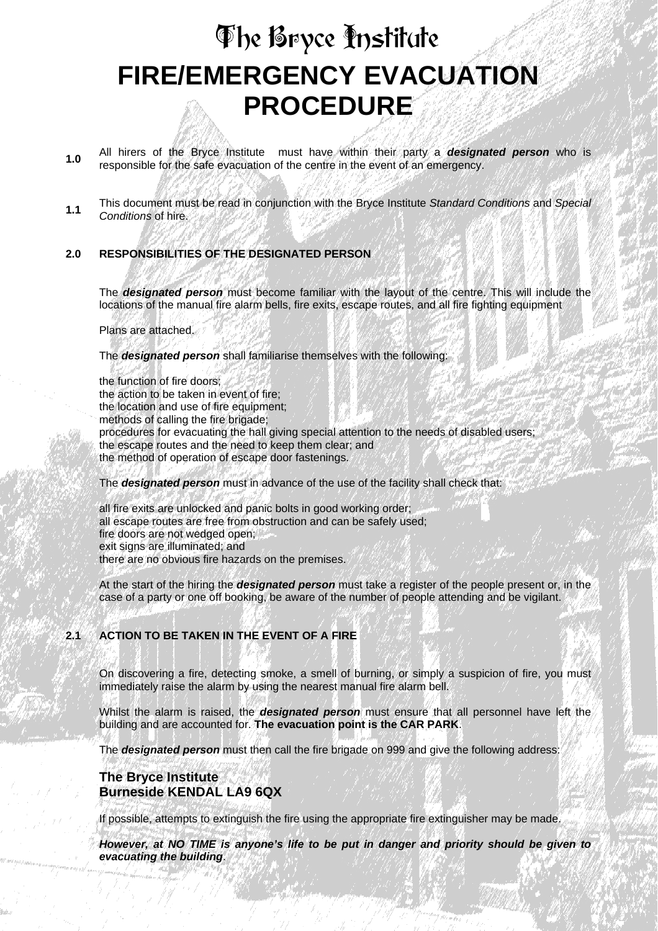# **FIRE/EMERGENCY EVACUATION PROCEDURE**  The Bryce Institute

- **1.0** All hirers of the Bryce Institute must have within their party a *designated person* who is responsible for the safe evacuation of the centre in the event of an emergency.
- **1.1** This document must be read in conjunction with the Bryce Institute *Standard Conditions* and *Special Conditions* of hire.

#### **2.0 RESPONSIBILITIES OF THE DESIGNATED PERSON**

The *designated person* must become familiar with the layout of the centre. This will include the locations of the manual fire alarm bells, fire exits, escape routes, and all fire fighting equipment

Plans are attached.

The *designated person* shall familiarise themselves with the following:

the function of fire doors; the action to be taken in event of fire; the location and use of fire equipment: methods of calling the fire brigade; procedures for evacuating the hall giving special attention to the needs of disabled users; the escape routes and the need to keep them clear; and the method of operation of escape door fastenings. The *designated person* must in advance of the use of the facility shall check that:

all fire exits are unlocked and panic bolts in good working order; all escape routes are free from obstruction and can be safely used; fire doors are not wedged open; exit signs are illuminated; and there are no obvious fire hazards on the premises.

At the start of the hiring the *designated person* must take a register of the people present or, in the case of a party or one off booking, be aware of the number of people attending and be vigilant.

## **2.1 ACTION TO BE TAKEN IN THE EVENT OF A FIRE**

On discovering a fire, detecting smoke, a smell of burning, or simply a suspicion of fire, you must immediately raise the alarm by using the nearest manual fire alarm bell.

Whilst the alarm is raised, the *designated person* must ensure that all personnel have left the building and are accounted for. **The evacuation point is the CAR PARK**.

The *designated person* must then call the fire brigade on 999 and give the following address:

### **The Bryce Institute Burneside KENDAL LA9 6QX**

If possible, attempts to extinguish the fire using the appropriate fire extinguisher may be made.

*However, at NO TIME is anyone's life to be put in danger and priority should be given to evacuating the building*.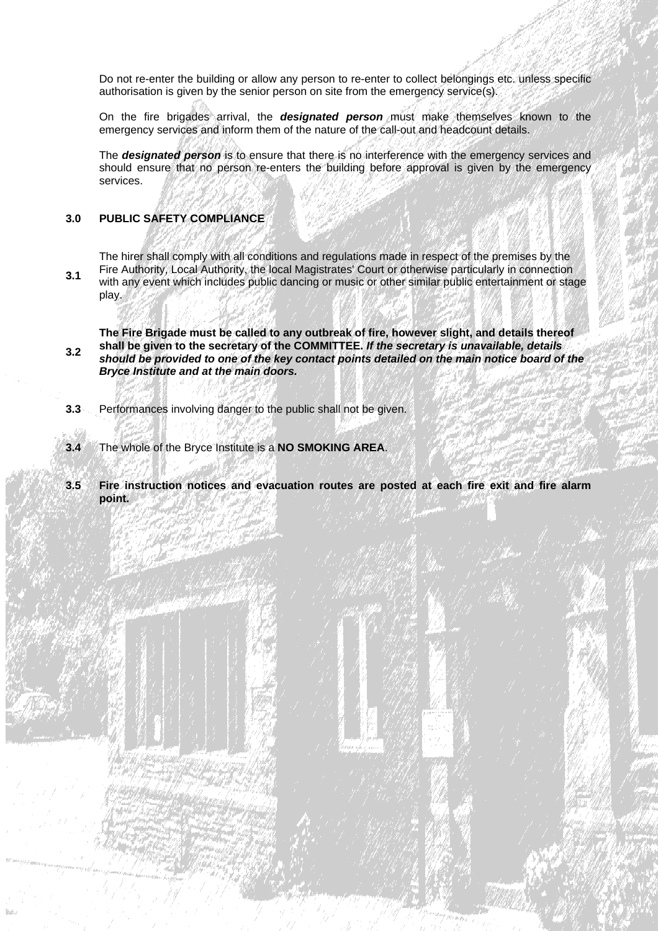Do not re-enter the building or allow any person to re-enter to collect belongings etc. unless specific authorisation is given by the senior person on site from the emergency service(s).

On the fire brigades arrival, the *designated person* must make themselves known to the emergency services and inform them of the nature of the call-out and headcount details.

The *designated person* is to ensure that there is no interference with the emergency services and should ensure that no person re-enters the building before approval is given by the emergency services.

#### **3.0 PUBLIC SAFETY COMPLIANCE**

**3.1**  The hirer shall comply with all conditions and regulations made in respect of the premises by the Fire Authority, Local Authority, the local Magistrates' Court or otherwise particularly in connection with any event which includes public dancing or music or other similar public entertainment or stage play.

**3.2 The Fire Brigade must be called to any outbreak of fire, however slight, and details thereof shall be given to the secretary of the COMMITTEE.** *If the secretary is unavailable, details should be provided to one of the key contact points detailed on the main notice board of the Bryce Institute and at the main doors.*

- **3.3** Performances involving danger to the public shall not be given.
- **3.4** The whole of the Bryce Institute is a **NO SMOKING AREA**.
- **3.5 Fire instruction notices and evacuation routes are posted at each fire exit and fire alarm point.**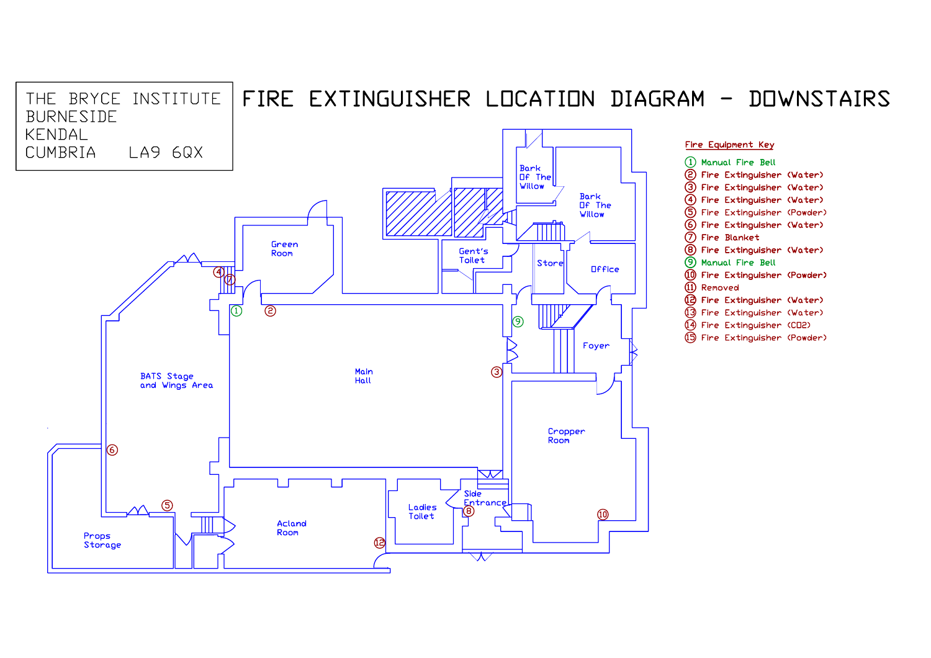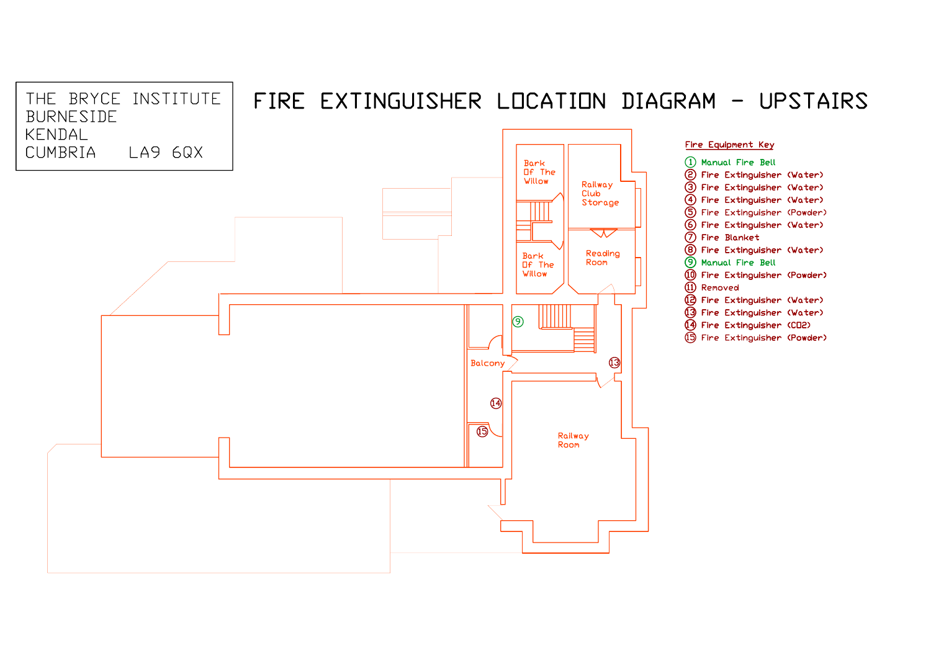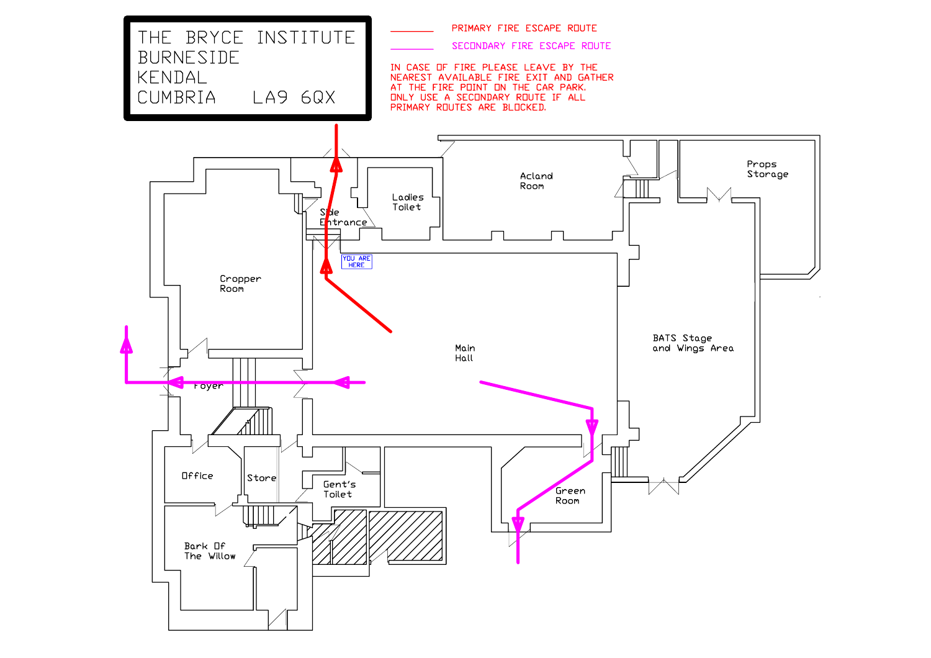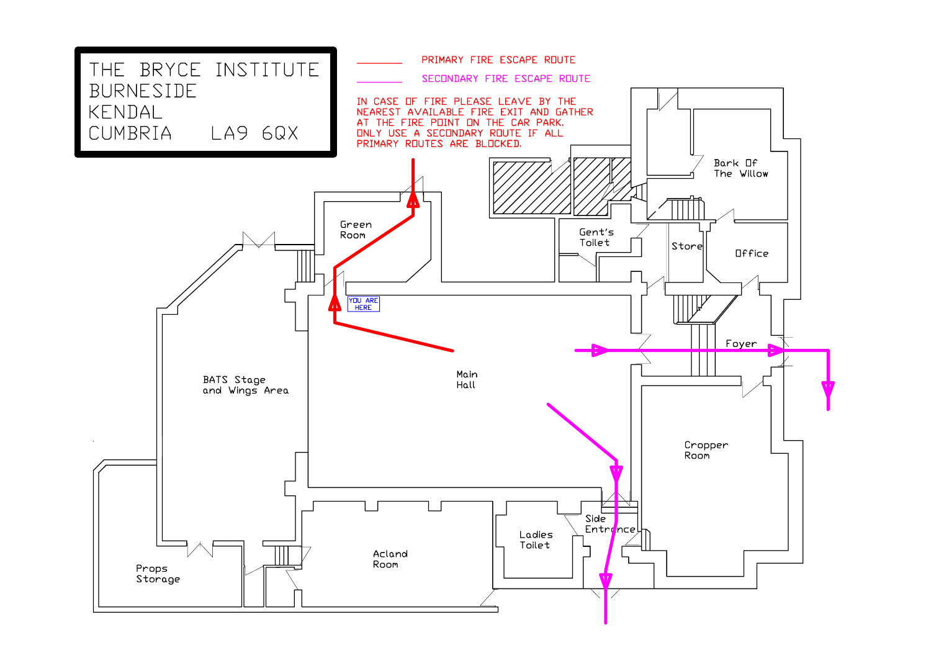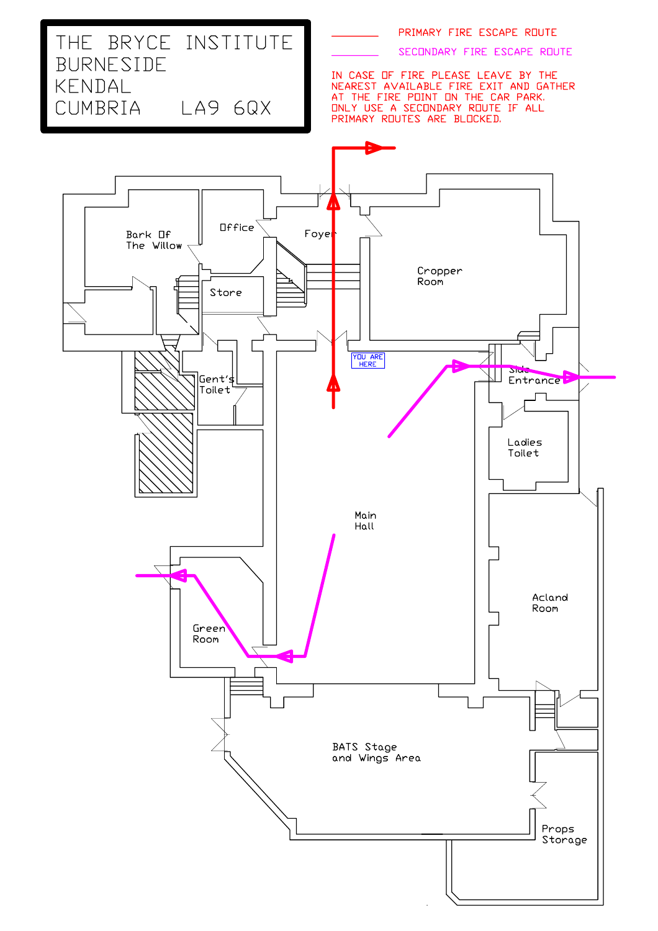SECONDARY FIRE ESCAPE ROUTE

# THE BRYCE INSTITUTE BURNESIDE KENDAL CUMBRIA LA9 6QX

IN CASE OF FIRE PLEASE LEAVE BY THE<br>NEAREST AVAILABLE FIRE EXIT AND GATHER<br>AT THE FIRE POINT ON THE CAR PARK.<br>ONLY USE A SECONDARY ROUTE IF ALL PRIMARY ROUTES ARE BLOCKED.

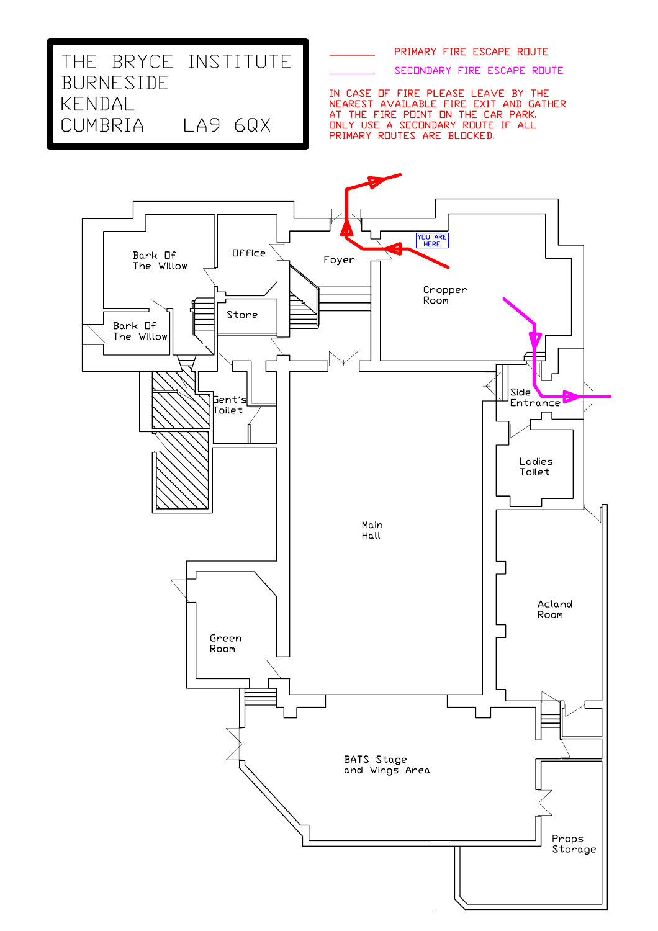SECONDARY FIRE ESCAPE ROUTE

IN CASE OF FIRE PLEASE LEAVE BY THE<br>NEAREST AVAILABLE FIRE EXIT AND GATHER<br>AT THE FIRE POINT ON THE CAR PARK. UNLY USE A SECONDARY ROUTE IF ALL<br>PRIMARY ROUTES ARE BLOCKED.



THE BRYCE INSTITUTE

LA9 6QX

BURNESIDE

KENDAL CUMBRIA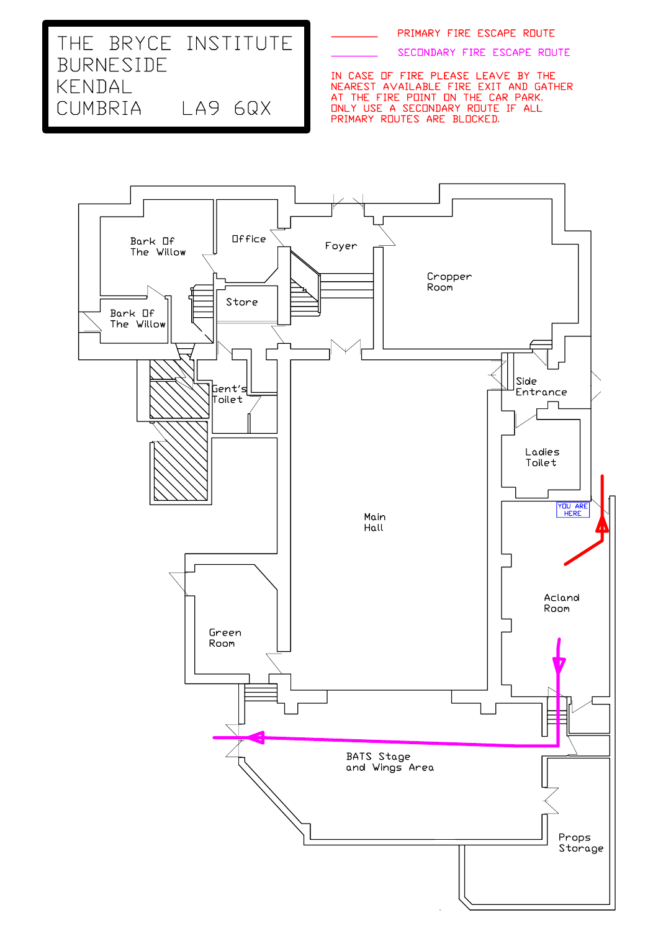SECONDARY FIRE ESCAPE ROUTE

THE BRYCE INSTITUTE BURNESIDE KENDAL CUMBRIA LA9 6QX

IN CASE OF FIRE PLEASE LEAVE BY THE<br>NEAREST AVAILABLE FIRE EXIT AND GATHER<br>AT THE FIRE POINT ON THE CAR PARK.<br>ONLY USE A SECONDARY ROUTE IF ALL

PRIMARY ROUTES ARE BLOCKED.

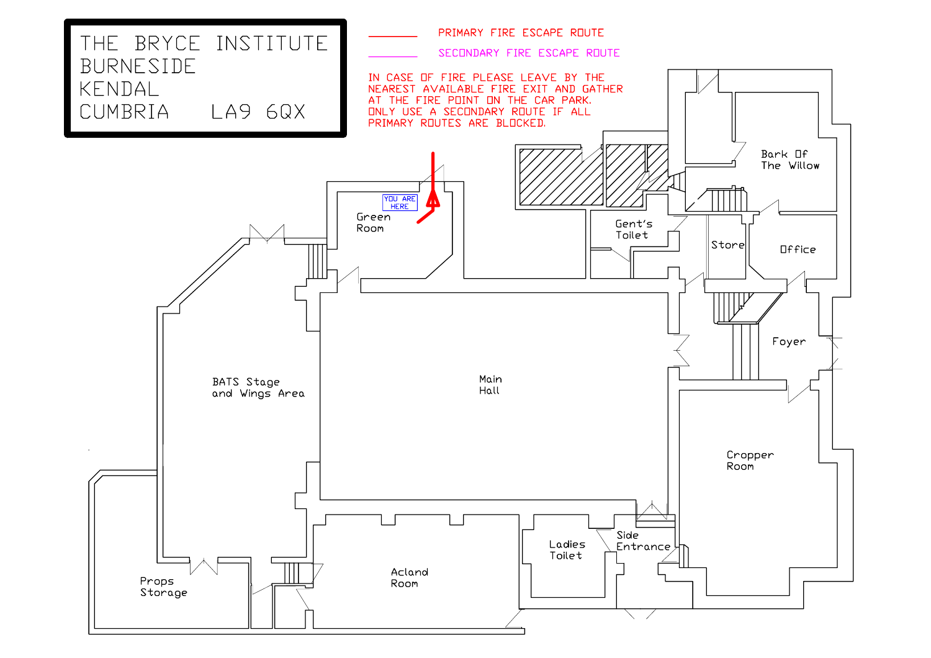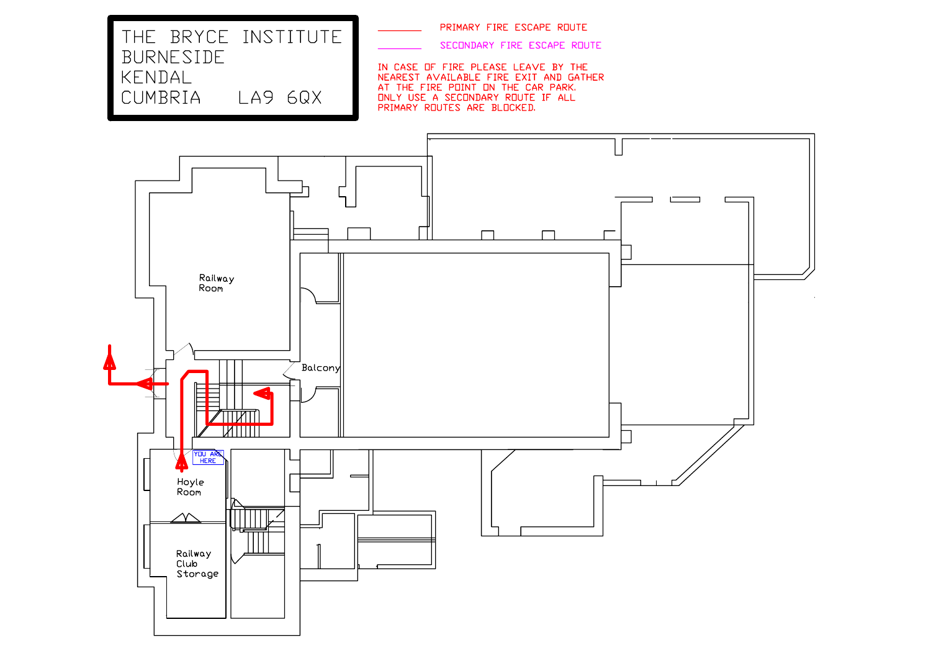THE BRYCE INSTITUTE BURNESIDE KENDAL CUMBRIA LA9 6QX

PRIMARY FIRE ESCAPE ROUTE

SECONDARY FIRE ESCAPE ROUTE

IN CASE OF FIRE PLEASE LEAVE BY THE NEAREST AVAILABLE FIRE EXIT AND GATHER AT THE FIRE POINT ON THE CAR PARK. ONLY USE A SECONDARY ROUTE IF ALL PRIMARY ROUTES ARE BLOCKED.

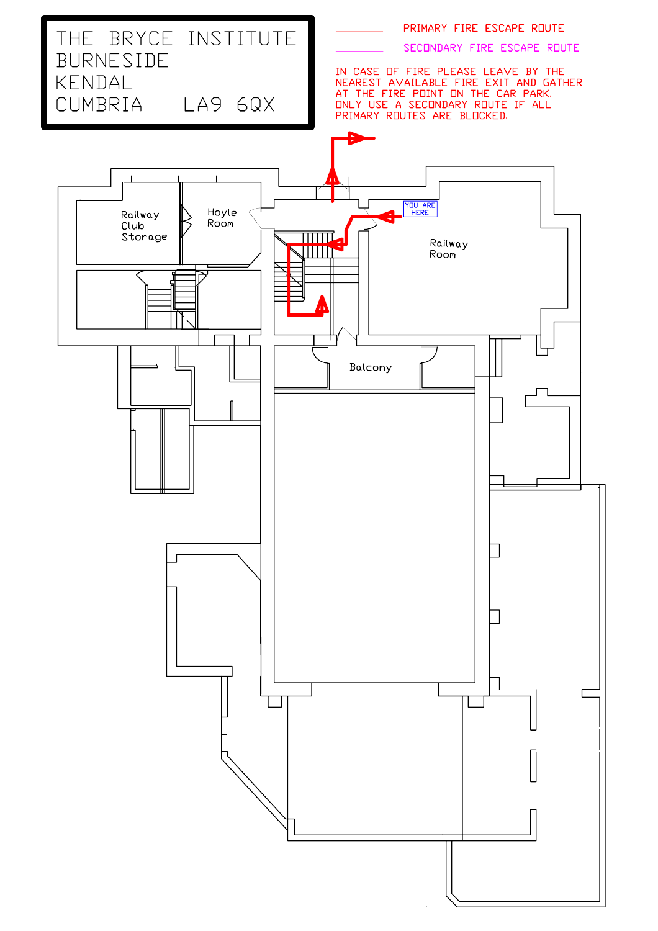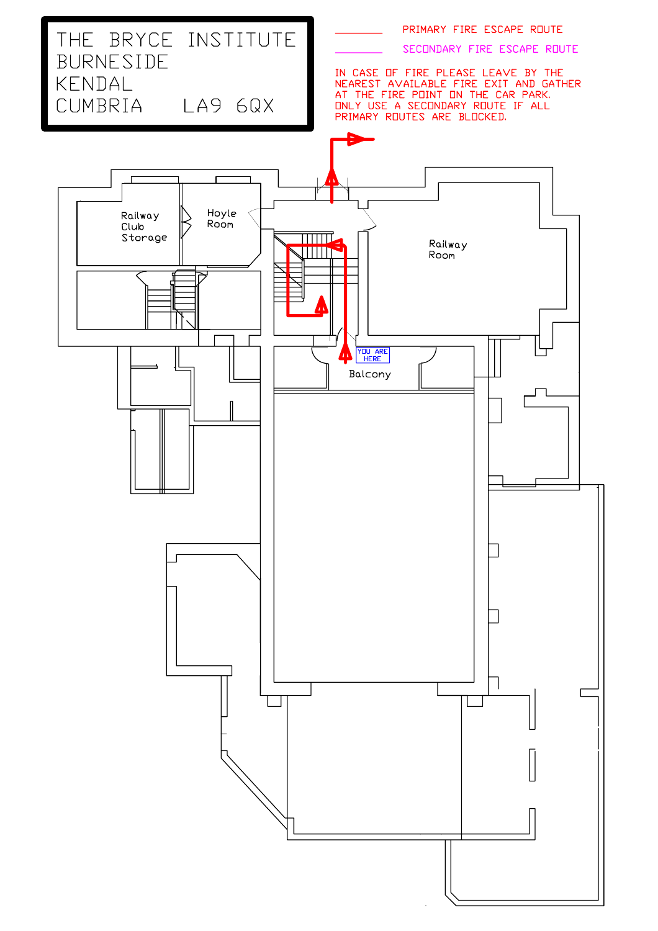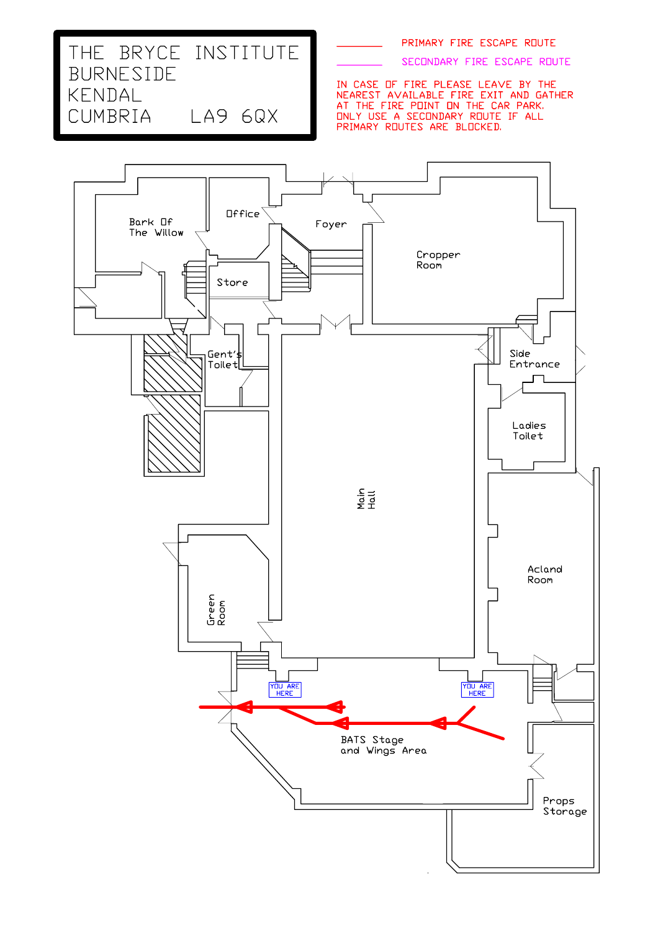SECONDARY FIRE ESCAPE ROUTE

IN CASE OF FIRE PLEASE LEAVE BY THE<br>NEAREST AVAILABLE FIRE EXIT AND GATHER<br>AT THE FIRE POINT ON THE CAR PARK.<br>ONLY USE A SECONDARY ROUTE IF ALL<br>PRIMARY ROUTES ARE BLOCKED.



THE BRYCE INSTITUTE

LA9 6QX

BURNESIDE

KENDAL CUMBRIA